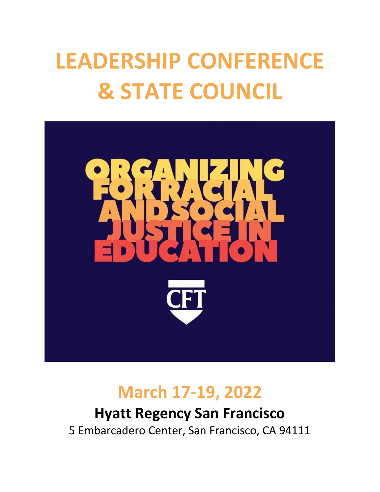# **LEADERSHIP CONFERENCE & STATE COUNCIL**



## **March 17-19, 2022**

## **Hyatt Regency San Francisco** 5 Embarcadero Center, San Francisco, CA 94111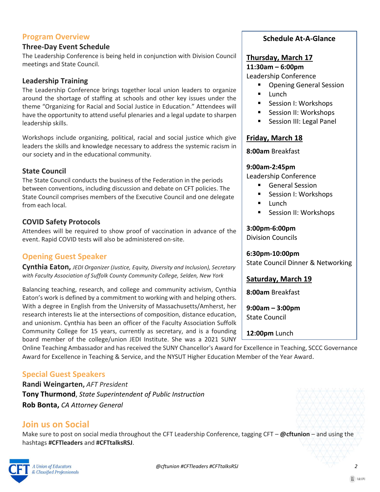#### **Program Overview**

#### **Three-Day Event Schedule**

The Leadership Conference is being held in conjunction with Division Council meetings and State Council.

#### **Leadership Training**

The Leadership Conference brings together local union leaders to organize around the shortage of staffing at schools and other key issues under the theme "Organizing for Racial and Social Justice in Education." Attendees will have the opportunity to attend useful plenaries and a legal update to sharpen leadership skills.

Workshops include organizing, political, racial and social justice which give leaders the skills and knowledge necessary to address the systemic racism in our society and in the educational community.

#### **State Council**

The State Council conducts the business of the Federation in the periods between conventions, including discussion and debate on CFT policies. The State Council comprises members of the Executive Council and one delegate from each local.

#### **COVID Safety Protocols**

Attendees will be required to show proof of vaccination in advance of the event. Rapid COVID tests will also be administered on-site.

#### **Opening Guest Speaker**

**Cynthia Eaton,** *JEDI Organizer (Justice, Equity, Diversity and Inclusion), Secretary with Faculty Association of Suffolk County Community College, Selden, New York*

Balancing teaching, research, and college and community activism, Cynthia Eaton's work is defined by a commitment to working with and helping others. With a degree in English from the University of Massachusetts/Amherst, her research interests lie at the intersections of composition, distance education, and unionism. Cynthia has been an officer of the Faculty Association Suffolk Community College for 15 years, currently as secretary, and is a founding board member of the college/union JEDI Institute. She was a 2021 SUNY

#### **Schedule At-A-Glance**

#### **Thursday, March 17**

**11:30am – 6:00pm**

Leadership Conference

- Opening General Session
- Lunch
- Session I: Workshops
- Session II: Workshops
- Session III: Legal Panel

#### **Friday, March 18**

**8:00am** Breakfast

#### **9:00am-2:45pm**

Leadership Conference

- General Session
- Session I: Workshops
- Lunch
- Session II: Workshops

#### **3:00pm-6:00pm**

Division Councils

**6:30pm-10:00pm** State Council Dinner & Networking

#### **Saturday, March 19**

**8:00am** Breakfast

**9:00am – 3:00pm**  State Council

**12:00pm** Lunch

**Special Guest Speakers**

**Randi Weingarten,** *AFT President* **Tony Thurmond**, *State Superintendent of Public Instruction* **Rob Bonta,** *CA Attorney General* 

#### **Join us on Social**

Make sure to post on social media throughout the CFT Leadership Conference, tagging CFT – **@cftunion** – and using the hashtags **#CFTleaders** and **#CFTtalksRSJ**.

Online Teaching Ambassador and has received the SUNY Chancellor's Award for Excellence in Teaching, SCCC Governance

Award for Excellence in Teaching & Service, and the NYSUT Higher Education Member of the Year Award.

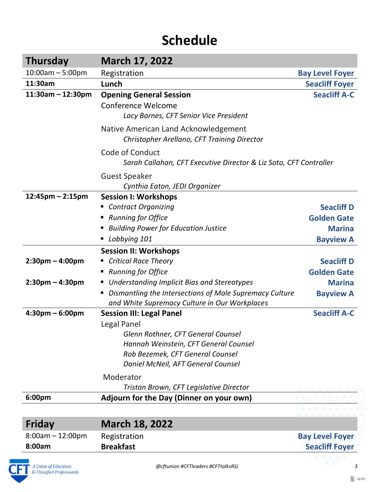## **Schedule**

| <b>Thursday</b>                   | <b>March 17, 2022</b>                                                                                    |                        |
|-----------------------------------|----------------------------------------------------------------------------------------------------------|------------------------|
| $10:00$ am $-5:00$ pm             | Registration                                                                                             | <b>Bay Level Foyer</b> |
| 11:30am                           | Lunch                                                                                                    | <b>Seacliff Foyer</b>  |
| $11:30am - 12:30pm$               | <b>Opening General Session</b>                                                                           | <b>Seacliff A-C</b>    |
|                                   | Conference Welcome                                                                                       |                        |
|                                   | Lacy Barnes, CFT Senior Vice President                                                                   |                        |
|                                   | Native American Land Acknowledgement                                                                     |                        |
|                                   | Christopher Arellano, CFT Training Director                                                              |                        |
|                                   | Code of Conduct                                                                                          |                        |
|                                   | Sarah Callahan, CFT Executive Director & Liz Soto, CFT Controller                                        |                        |
|                                   | <b>Guest Speaker</b>                                                                                     |                        |
|                                   | Cynthia Eaton, JEDI Organizer                                                                            |                        |
| $12:45$ pm – 2:15pm               | <b>Session I: Workshops</b>                                                                              |                        |
|                                   | <b>Contract Organizing</b>                                                                               | <b>Seacliff D</b>      |
|                                   | <b>Running for Office</b><br>ш                                                                           | <b>Golden Gate</b>     |
|                                   | <b>Building Power for Education Justice</b>                                                              | <b>Marina</b>          |
|                                   | Lobbying 101<br>ш                                                                                        | <b>Bayview A</b>       |
|                                   | <b>Session II: Workshops</b>                                                                             |                        |
| $2:30$ pm – 4:00pm                | <b>Critical Race Theory</b>                                                                              | <b>Seacliff D</b>      |
|                                   | <b>Running for Office</b><br>п                                                                           | <b>Golden Gate</b>     |
| $2:30$ pm – 4:30pm                | Understanding Implicit Bias and Stereotypes<br>п                                                         | <b>Marina</b>          |
|                                   | Dismantling the Intersections of Male Supremacy Culture<br>and White Supremacy Culture in Our Workplaces | <b>Bayview A</b>       |
| $4:30 \text{pm} - 6:00 \text{pm}$ | <b>Session III: Legal Panel</b>                                                                          | <b>Seacliff A-C</b>    |
|                                   | <b>Legal Panel</b>                                                                                       |                        |
|                                   | Glenn Rothner, CFT General Counsel                                                                       |                        |
|                                   | Hannah Weinstein, CFT General Counsel                                                                    |                        |
|                                   | Rob Bezemek, CFT General Counsel                                                                         |                        |
|                                   | Daniel McNeil, AFT General Counsel                                                                       |                        |
|                                   | Moderator                                                                                                |                        |
|                                   | Tristan Brown, CFT Legislative Director                                                                  |                        |
| 6:00pm                            | Adjourn for the Day (Dinner on your own)                                                                 |                        |
|                                   |                                                                                                          |                        |
| Friday                            | <b>March 18, 2022</b>                                                                                    |                        |
|                                   |                                                                                                          |                        |

| $8:00am - 12:00pm$ | Registration     | <b>Bay Level Foyer</b> |
|--------------------|------------------|------------------------|
| 8:00am             | <b>Breakfast</b> | <b>Seacliff Foyer</b>  |
|                    |                  |                        |

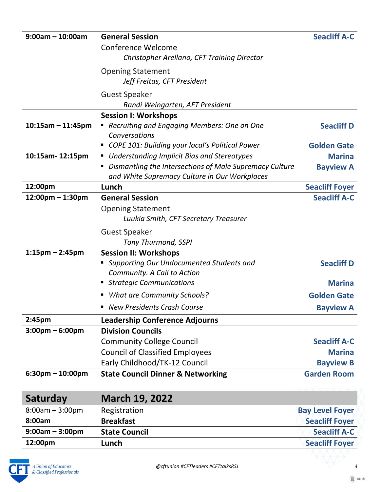| $9:00am - 10:00am$                 | <b>General Session</b>                                                                                   | <b>Seacliff A-C</b>    |
|------------------------------------|----------------------------------------------------------------------------------------------------------|------------------------|
|                                    | <b>Conference Welcome</b>                                                                                |                        |
|                                    | Christopher Arellano, CFT Training Director                                                              |                        |
|                                    | <b>Opening Statement</b>                                                                                 |                        |
|                                    | Jeff Freitas, CFT President                                                                              |                        |
|                                    | <b>Guest Speaker</b>                                                                                     |                        |
|                                    | Randi Weingarten, AFT President                                                                          |                        |
|                                    | <b>Session I: Workshops</b>                                                                              |                        |
| $10:15am - 11:45pm$                | Recruiting and Engaging Members: One on One<br>ш<br>Conversations                                        | <b>Seacliff D</b>      |
|                                    | COPE 101: Building your local's Political Power                                                          | <b>Golden Gate</b>     |
| 10:15am-12:15pm                    | <b>Understanding Implicit Bias and Stereotypes</b><br>ш                                                  | <b>Marina</b>          |
|                                    | Dismantling the Intersections of Male Supremacy Culture<br>and White Supremacy Culture in Our Workplaces | <b>Bayview A</b>       |
| 12:00pm                            | Lunch                                                                                                    | <b>Seacliff Foyer</b>  |
| $12:00$ pm – 1:30pm                | <b>General Session</b>                                                                                   | <b>Seacliff A-C</b>    |
|                                    | <b>Opening Statement</b>                                                                                 |                        |
|                                    | Luukia Smith, CFT Secretary Treasurer                                                                    |                        |
|                                    | <b>Guest Speaker</b>                                                                                     |                        |
|                                    | <b>Tony Thurmond, SSPI</b>                                                                               |                        |
| $1:15$ pm – 2:45pm                 | <b>Session II: Workshops</b>                                                                             |                        |
|                                    | Supporting Our Undocumented Students and                                                                 | <b>Seacliff D</b>      |
|                                    | Community. A Call to Action                                                                              |                        |
|                                    | ■ Strategic Communications                                                                               | <b>Marina</b>          |
|                                    | <b>What are Community Schools?</b><br>ш                                                                  | <b>Golden Gate</b>     |
|                                    | <b>New Presidents Crash Course</b><br>■                                                                  | <b>Bayview A</b>       |
| 2:45 <sub>pm</sub>                 | <b>Leadership Conference Adjourns</b>                                                                    |                        |
| $3:00 \text{pm} - 6:00 \text{pm}$  | <b>Division Councils</b>                                                                                 |                        |
|                                    | <b>Community College Council</b>                                                                         | <b>Seacliff A-C</b>    |
|                                    | <b>Council of Classified Employees</b>                                                                   | <b>Marina</b>          |
|                                    | Early Childhood/TK-12 Council                                                                            | <b>Bayview B</b>       |
| $6:30 \text{pm} - 10:00 \text{pm}$ | <b>State Council Dinner &amp; Networking</b>                                                             | <b>Garden Room</b>     |
|                                    |                                                                                                          |                        |
| Saturday                           | <b>March 19, 2022</b>                                                                                    |                        |
| $8:00am - 3:00pm$                  | Registration                                                                                             | <b>Bay Level Foyer</b> |
| 8:00am                             | <b>Breakfast</b>                                                                                         | <b>Seacliff Foyer</b>  |
| $9:00am - 3:00pm$                  | <b>State Council</b>                                                                                     | <b>Seacliff A-C</b>    |
| 12:00pm                            | Lunch                                                                                                    | <b>Seacliff Foyer</b>  |

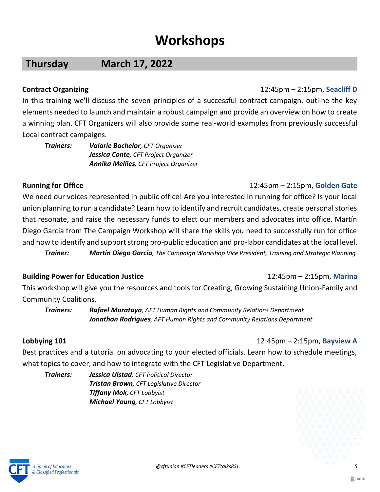## **Workshops**

### **Thursday March 17, 2022**

#### **Contract Organizing**12:45pm – 2:15pm, **Seacliff D**

In this training we'll discuss the seven principles of a successful contract campaign, outline the key elements needed to launch and maintain a robust campaign and provide an overview on how to create a winning plan. CFT Organizers will also provide some real-world examples from previously successful Local contract campaigns.

*Trainers: Valarie Bachelor, CFT Organizer Jessica Conte, CFT Project Organizer Annika Mellies, CFT Project Organizer*

#### **Running for Office**12:45pm – 2:15pm, **Golden Gate**

We need our voices represented in public office! Are you interested in running for office? Is your local union planning to run a candidate? Learn how to identify and recruit candidates, create personal stories that resonate, and raise the necessary funds to elect our members and advocates into office. Martín Diego Garcia from The Campaign Workshop will share the skills you need to successfully run for office and how to identify and support strong pro-public education and pro-labor candidates at the local level. *Trainer: Martín Diego Garcia, The Campaign Workshop Vice President, Training and Strategic Planning*

#### **Building Power for Education Justice**12:45pm – 2:15pm, **Marina**

### This workshop will give you the resources and tools for Creating, Growing Sustaining Union-Family and Community Coalitions.

*Trainers: Rafael Morataya, AFT Human Rights and Community Relations Department Jonathan Rodrigues, AFT Human Rights and Community Relations Department*

#### **Lobbying 101**12:45pm – 2:15pm, **Bayview A**

Best practices and a tutorial on advocating to your elected officials. Learn how to schedule meetings, what topics to cover, and how to integrate with the CFT Legislative Department.

*Trainers: Jessica Ulstad, CFT Political Director Tristan Brown, CFT Legislative Director Tiffany Mok, CFT Lobbyist Michael Young, CFT Lobbyist*



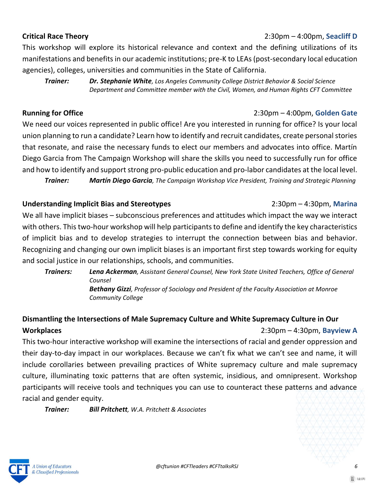## agencies), colleges, universities and communities in the State of California.

*Trainer: Dr. Stephanie White, Los Angeles Community College District Behavior & Social Science Department and Committee member with the Civil, Women, and Human Rights CFT Committee*

This workshop will explore its historical relevance and context and the defining utilizations of its manifestations and benefits in our academic institutions; pre-K to LEAs (post-secondary local education

**Running for Office**2:30pm – 4:00pm, **Golden Gate**

We need our voices represented in public office! Are you interested in running for office? Is your local union planning to run a candidate? Learn how to identify and recruit candidates, create personal stories that resonate, and raise the necessary funds to elect our members and advocates into office. Martín Diego Garcia from The Campaign Workshop will share the skills you need to successfully run for office and how to identify and support strong pro-public education and pro-labor candidates at the local level.

*Trainer: Martín Diego Garcia, The Campaign Workshop Vice President, Training and Strategic Planning*

### **Understanding Implicit Bias and Stereotypes** 2:30pm – 4:30pm, **Marina**

We all have implicit biases – subconscious preferences and attitudes which impact the way we interact with others. This two-hour workshop will help participants to define and identify the key characteristics of implicit bias and to develop strategies to interrupt the connection between bias and behavior. Recognizing and changing our own implicit biases is an important first step towards working for equity and social justice in our relationships, schools, and communities.

*Trainers: Lena Ackerman, Assistant General Counsel, New York State United Teachers, Office of General Counsel Bethany Gizzi, Professor of Sociology and President of the Faculty Association at Monroe Community College*

#### **Dismantling the Intersections of Male Supremacy Culture and White Supremacy Culture in Our Workplaces** 2:30pm – 4:30pm, **Bayview A**

This two-hour interactive workshop will examine the intersections of racial and gender oppression and their day-to-day impact in our workplaces. Because we can't fix what we can't see and name, it will include corollaries between prevailing practices of White supremacy culture and male supremacy culture, illuminating toxic patterns that are often systemic, insidious, and omnipresent. Workshop participants will receive tools and techniques you can use to counteract these patterns and advance racial and gender equity.

*Trainer: Bill Pritchett, W.A. Pritchett & Associates*

& Classified Professionals

 $\mathbb{E}$  (d:U)

### **Critical Race Theory**2:30pm – 4:00pm, **Seacliff D**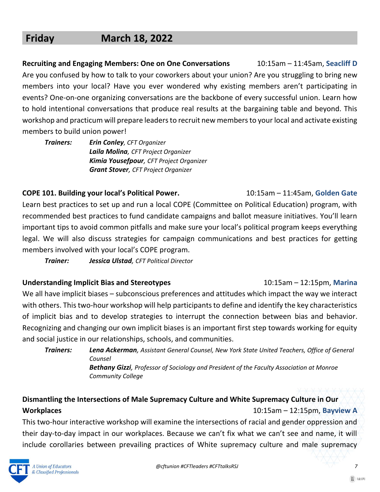### **Friday March 18, 2022**

**Recruiting and Engaging Members: One on One Conversations** 10:15am – 11:45am, **Seacliff D** Are you confused by how to talk to your coworkers about your union? Are you struggling to bring new members into your local? Have you ever wondered why existing members aren't participating in events? One-on-one organizing conversations are the backbone of every successful union. Learn how to hold intentional conversations that produce real results at the bargaining table and beyond. This workshop and practicum will prepare leaders to recruit new members to your local and activate existing members to build union power!

*Trainers: Erin Conley, CFT Organizer Laila Molina, CFT Project Organizer Kimia Yousefpour, CFT Project Organizer Grant Stover, CFT Project Organizer*

#### **COPE 101. Building your local's Political Power.** 10:15am – 11:45am, **Golden Gate**

Learn best practices to set up and run a local COPE (Committee on Political Education) program, with recommended best practices to fund candidate campaigns and ballot measure initiatives. You'll learn important tips to avoid common pitfalls and make sure your local's political program keeps everything legal. We will also discuss strategies for campaign communications and best practices for getting members involved with your local's COPE program.

*Trainer: Jessica Ulstad, CFT Political Director*

#### **Understanding Implicit Bias and Stereotypes** 10:15am – 12:15pm, **Marina**

We all have implicit biases – subconscious preferences and attitudes which impact the way we interact with others. This two-hour workshop will help participants to define and identify the key characteristics of implicit bias and to develop strategies to interrupt the connection between bias and behavior. Recognizing and changing our own implicit biases is an important first step towards working for equity and social justice in our relationships, schools, and communities.

*Trainers: Lena Ackerman, Assistant General Counsel, New York State United Teachers, Office of General Counsel Bethany Gizzi, Professor of Sociology and President of the Faculty Association at Monroe*

*Community College*

### **Dismantling the Intersections of Male Supremacy Culture and White Supremacy Culture in Our Workplaces** 10:15am – 12:15pm, **Bayview A**

This two-hour interactive workshop will examine the intersections of racial and gender oppression and their day-to-day impact in our workplaces. Because we can't fix what we can't see and name, it will include corollaries between prevailing practices of White supremacy culture and male supremacy